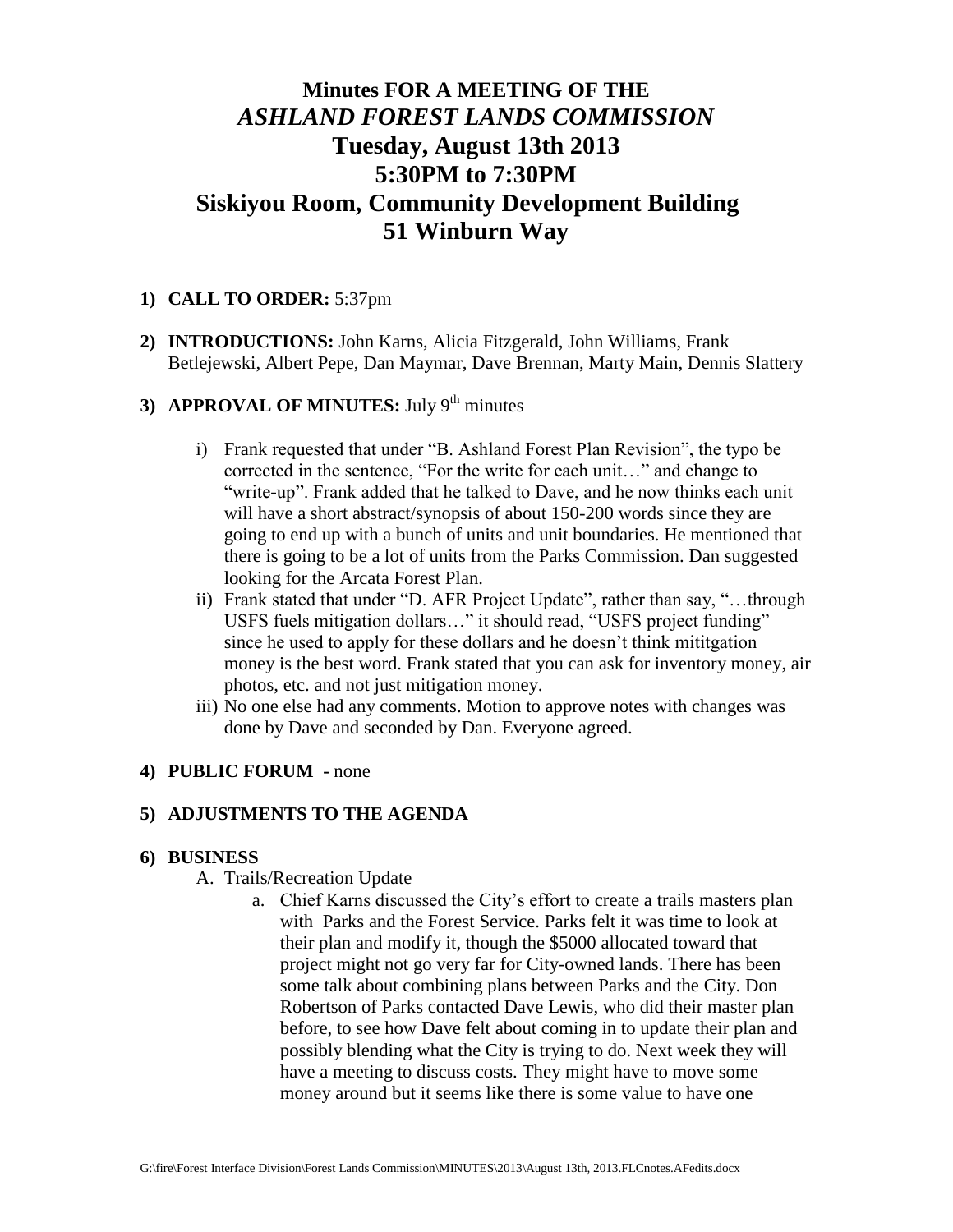# **Minutes FOR A MEETING OF THE** *ASHLAND FOREST LANDS COMMISSION* **Tuesday, August 13th 2013 5:30PM to 7:30PM Siskiyou Room, Community Development Building 51 Winburn Way**

#### **1) CALL TO ORDER:** 5:37pm

**2) INTRODUCTIONS:** John Karns, Alicia Fitzgerald, John Williams, Frank Betlejewski, Albert Pepe, Dan Maymar, Dave Brennan, Marty Main, Dennis Slattery

## **3) APPROVAL OF MINUTES:** July 9<sup>th</sup> minutes

- i) Frank requested that under "B. Ashland Forest Plan Revision", the typo be corrected in the sentence, "For the write for each unit…" and change to "write-up". Frank added that he talked to Dave, and he now thinks each unit will have a short abstract/synopsis of about 150-200 words since they are going to end up with a bunch of units and unit boundaries. He mentioned that there is going to be a lot of units from the Parks Commission. Dan suggested looking for the Arcata Forest Plan.
- ii) Frank stated that under "D. AFR Project Update", rather than say, "…through USFS fuels mitigation dollars…" it should read, "USFS project funding" since he used to apply for these dollars and he doesn't think mititgation money is the best word. Frank stated that you can ask for inventory money, air photos, etc. and not just mitigation money.
- iii) No one else had any comments. Motion to approve notes with changes was done by Dave and seconded by Dan. Everyone agreed.

#### **4) PUBLIC FORUM -** none

#### **5) ADJUSTMENTS TO THE AGENDA**

#### **6) BUSINESS**

#### A. Trails/Recreation Update

a. Chief Karns discussed the City's effort to create a trails masters plan with Parks and the Forest Service. Parks felt it was time to look at their plan and modify it, though the \$5000 allocated toward that project might not go very far for City-owned lands. There has been some talk about combining plans between Parks and the City. Don Robertson of Parks contacted Dave Lewis, who did their master plan before, to see how Dave felt about coming in to update their plan and possibly blending what the City is trying to do. Next week they will have a meeting to discuss costs. They might have to move some money around but it seems like there is some value to have one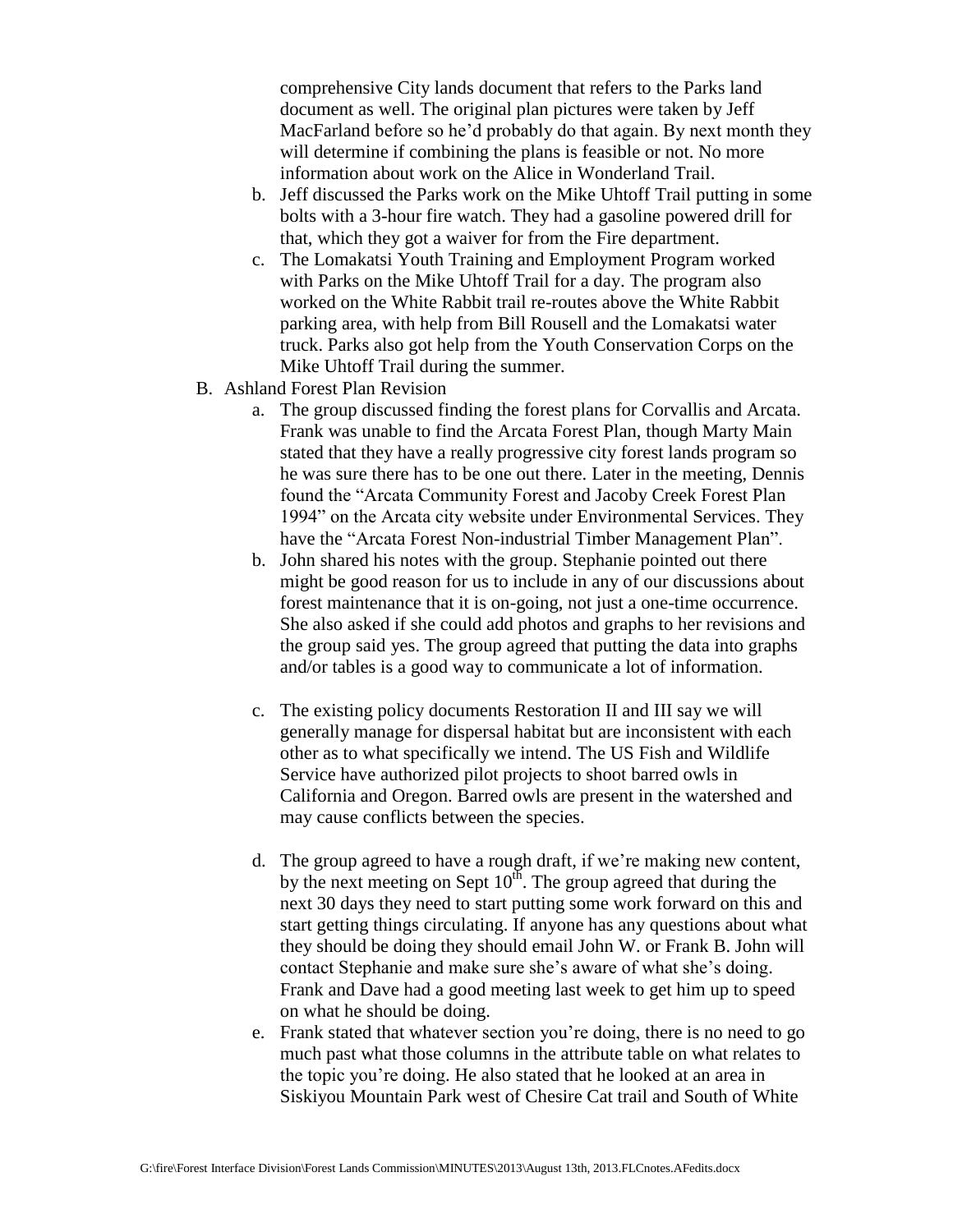comprehensive City lands document that refers to the Parks land document as well. The original plan pictures were taken by Jeff MacFarland before so he'd probably do that again. By next month they will determine if combining the plans is feasible or not. No more information about work on the Alice in Wonderland Trail.

- b. Jeff discussed the Parks work on the Mike Uhtoff Trail putting in some bolts with a 3-hour fire watch. They had a gasoline powered drill for that, which they got a waiver for from the Fire department.
- c. The Lomakatsi Youth Training and Employment Program worked with Parks on the Mike Uhtoff Trail for a day. The program also worked on the White Rabbit trail re-routes above the White Rabbit parking area, with help from Bill Rousell and the Lomakatsi water truck. Parks also got help from the Youth Conservation Corps on the Mike Uhtoff Trail during the summer.
- B. Ashland Forest Plan Revision
	- a. The group discussed finding the forest plans for Corvallis and Arcata. Frank was unable to find the Arcata Forest Plan, though Marty Main stated that they have a really progressive city forest lands program so he was sure there has to be one out there. Later in the meeting, Dennis found the "Arcata Community Forest and Jacoby Creek Forest Plan 1994" on the Arcata city website under Environmental Services. They have the "Arcata Forest Non-industrial Timber Management Plan".
	- b. John shared his notes with the group. Stephanie pointed out there might be good reason for us to include in any of our discussions about forest maintenance that it is on-going, not just a one-time occurrence. She also asked if she could add photos and graphs to her revisions and the group said yes. The group agreed that putting the data into graphs and/or tables is a good way to communicate a lot of information.
	- c. The existing policy documents Restoration II and III say we will generally manage for dispersal habitat but are inconsistent with each other as to what specifically we intend. The US Fish and Wildlife Service have authorized pilot projects to shoot barred owls in California and Oregon. Barred owls are present in the watershed and may cause conflicts between the species.
	- d. The group agreed to have a rough draft, if we're making new content, by the next meeting on Sept  $10^{th}$ . The group agreed that during the next 30 days they need to start putting some work forward on this and start getting things circulating. If anyone has any questions about what they should be doing they should email John W. or Frank B. John will contact Stephanie and make sure she's aware of what she's doing. Frank and Dave had a good meeting last week to get him up to speed on what he should be doing.
	- e. Frank stated that whatever section you're doing, there is no need to go much past what those columns in the attribute table on what relates to the topic you're doing. He also stated that he looked at an area in Siskiyou Mountain Park west of Chesire Cat trail and South of White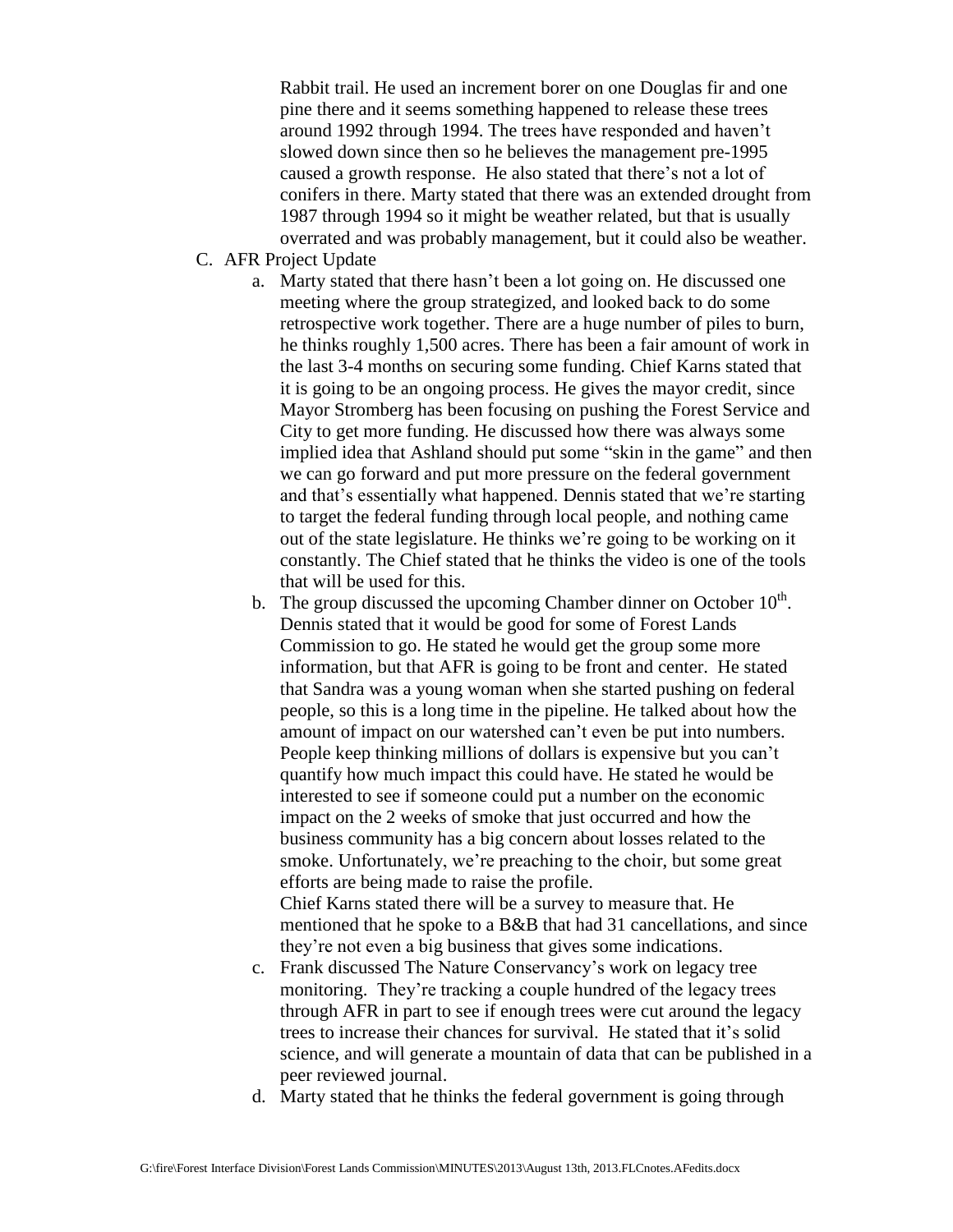Rabbit trail. He used an increment borer on one Douglas fir and one pine there and it seems something happened to release these trees around 1992 through 1994. The trees have responded and haven't slowed down since then so he believes the management pre-1995 caused a growth response. He also stated that there's not a lot of conifers in there. Marty stated that there was an extended drought from 1987 through 1994 so it might be weather related, but that is usually overrated and was probably management, but it could also be weather.

- C. AFR Project Update
	- a. Marty stated that there hasn't been a lot going on. He discussed one meeting where the group strategized, and looked back to do some retrospective work together. There are a huge number of piles to burn, he thinks roughly 1,500 acres. There has been a fair amount of work in the last 3-4 months on securing some funding. Chief Karns stated that it is going to be an ongoing process. He gives the mayor credit, since Mayor Stromberg has been focusing on pushing the Forest Service and City to get more funding. He discussed how there was always some implied idea that Ashland should put some "skin in the game" and then we can go forward and put more pressure on the federal government and that's essentially what happened. Dennis stated that we're starting to target the federal funding through local people, and nothing came out of the state legislature. He thinks we're going to be working on it constantly. The Chief stated that he thinks the video is one of the tools that will be used for this.
	- b. The group discussed the upcoming Chamber dinner on October  $10<sup>th</sup>$ . Dennis stated that it would be good for some of Forest Lands Commission to go. He stated he would get the group some more information, but that AFR is going to be front and center. He stated that Sandra was a young woman when she started pushing on federal people, so this is a long time in the pipeline. He talked about how the amount of impact on our watershed can't even be put into numbers. People keep thinking millions of dollars is expensive but you can't quantify how much impact this could have. He stated he would be interested to see if someone could put a number on the economic impact on the 2 weeks of smoke that just occurred and how the business community has a big concern about losses related to the smoke. Unfortunately, we're preaching to the choir, but some great efforts are being made to raise the profile.

Chief Karns stated there will be a survey to measure that. He mentioned that he spoke to a B&B that had 31 cancellations, and since they're not even a big business that gives some indications.

- c. Frank discussed The Nature Conservancy's work on legacy tree monitoring. They're tracking a couple hundred of the legacy trees through AFR in part to see if enough trees were cut around the legacy trees to increase their chances for survival. He stated that it's solid science, and will generate a mountain of data that can be published in a peer reviewed journal.
- d. Marty stated that he thinks the federal government is going through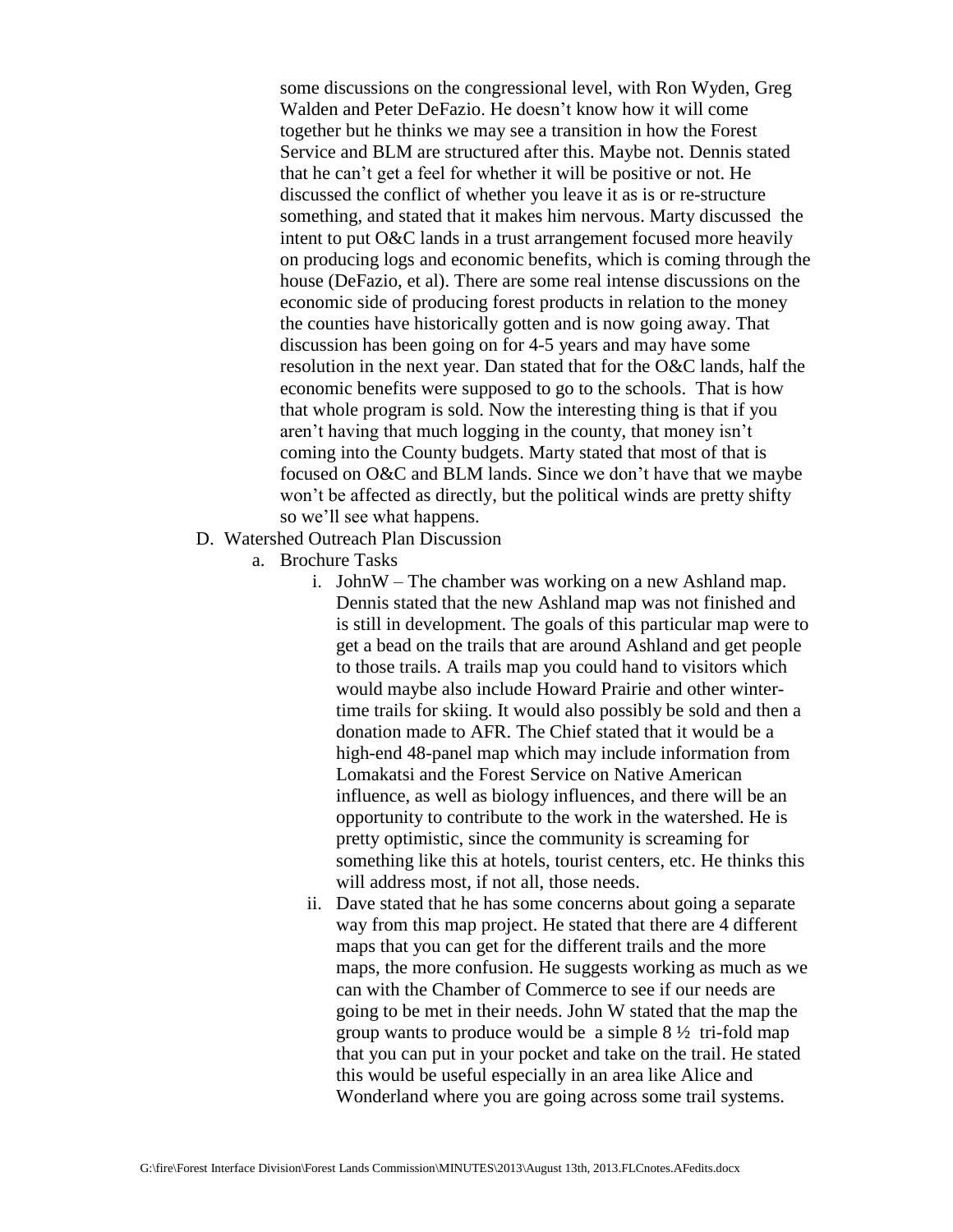some discussions on the congressional level, with Ron Wyden, Greg Walden and Peter DeFazio. He doesn't know how it will come together but he thinks we may see a transition in how the Forest Service and BLM are structured after this. Maybe not. Dennis stated that he can't get a feel for whether it will be positive or not. He discussed the conflict of whether you leave it as is or re-structure something, and stated that it makes him nervous. Marty discussed the intent to put O&C lands in a trust arrangement focused more heavily on producing logs and economic benefits, which is coming through the house (DeFazio, et al). There are some real intense discussions on the economic side of producing forest products in relation to the money the counties have historically gotten and is now going away. That discussion has been going on for 4-5 years and may have some resolution in the next year. Dan stated that for the O&C lands, half the economic benefits were supposed to go to the schools. That is how that whole program is sold. Now the interesting thing is that if you aren't having that much logging in the county, that money isn't coming into the County budgets. Marty stated that most of that is focused on O&C and BLM lands. Since we don't have that we maybe won't be affected as directly, but the political winds are pretty shifty so we'll see what happens.

- D. Watershed Outreach Plan Discussion
	- a. Brochure Tasks
		- i. JohnW The chamber was working on a new Ashland map. Dennis stated that the new Ashland map was not finished and is still in development. The goals of this particular map were to get a bead on the trails that are around Ashland and get people to those trails. A trails map you could hand to visitors which would maybe also include Howard Prairie and other wintertime trails for skiing. It would also possibly be sold and then a donation made to AFR. The Chief stated that it would be a high-end 48-panel map which may include information from Lomakatsi and the Forest Service on Native American influence, as well as biology influences, and there will be an opportunity to contribute to the work in the watershed. He is pretty optimistic, since the community is screaming for something like this at hotels, tourist centers, etc. He thinks this will address most, if not all, those needs.
		- ii. Dave stated that he has some concerns about going a separate way from this map project. He stated that there are 4 different maps that you can get for the different trails and the more maps, the more confusion. He suggests working as much as we can with the Chamber of Commerce to see if our needs are going to be met in their needs. John W stated that the map the group wants to produce would be a simple  $8\frac{1}{2}$  tri-fold map that you can put in your pocket and take on the trail. He stated this would be useful especially in an area like Alice and Wonderland where you are going across some trail systems.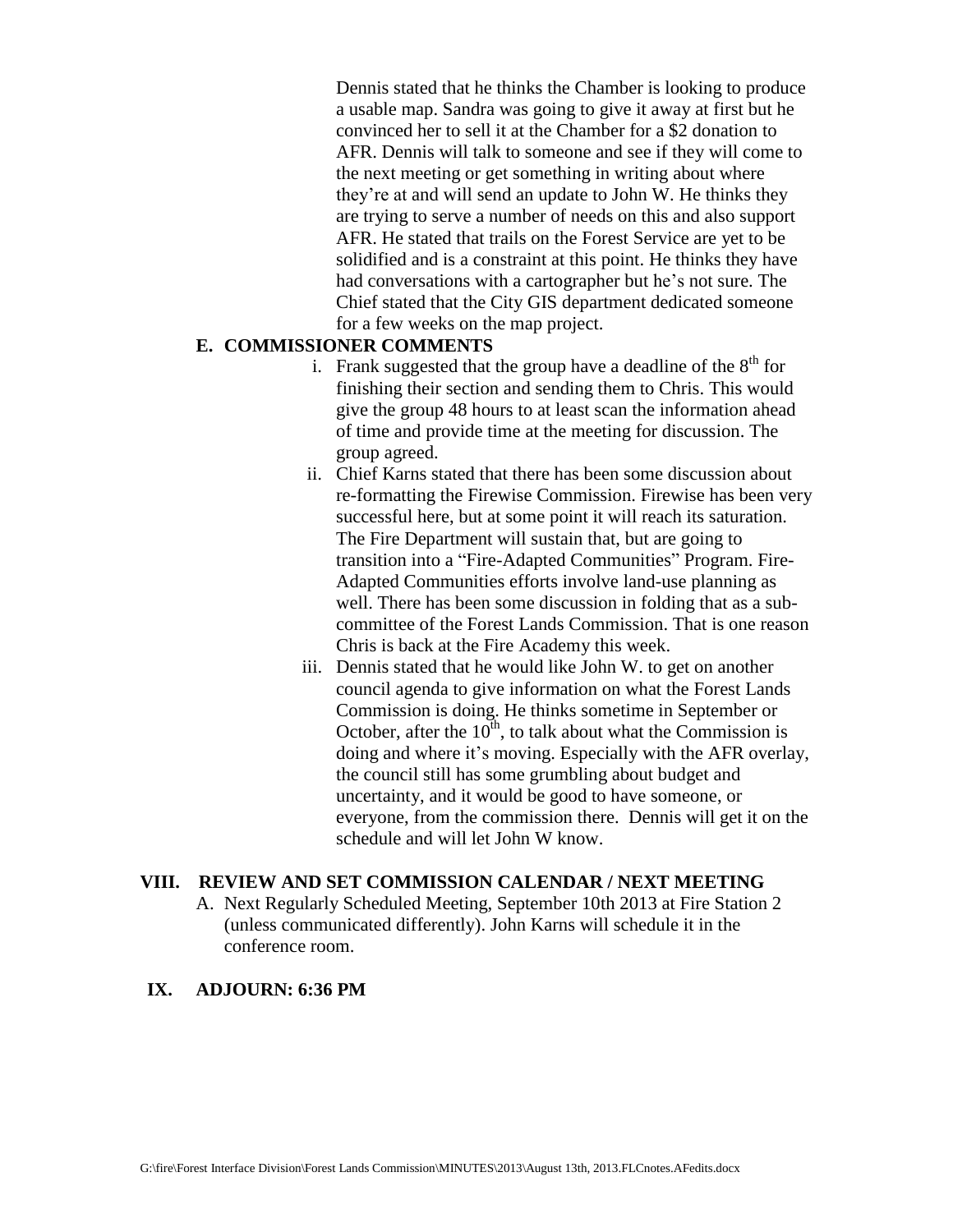Dennis stated that he thinks the Chamber is looking to produce a usable map. Sandra was going to give it away at first but he convinced her to sell it at the Chamber for a \$2 donation to AFR. Dennis will talk to someone and see if they will come to the next meeting or get something in writing about where they're at and will send an update to John W. He thinks they are trying to serve a number of needs on this and also support AFR. He stated that trails on the Forest Service are yet to be solidified and is a constraint at this point. He thinks they have had conversations with a cartographer but he's not sure. The Chief stated that the City GIS department dedicated someone for a few weeks on the map project.

#### **E. COMMISSIONER COMMENTS**

- i. Frank suggested that the group have a deadline of the  $8<sup>th</sup>$  for finishing their section and sending them to Chris. This would give the group 48 hours to at least scan the information ahead of time and provide time at the meeting for discussion. The group agreed.
- ii. Chief Karns stated that there has been some discussion about re-formatting the Firewise Commission. Firewise has been very successful here, but at some point it will reach its saturation. The Fire Department will sustain that, but are going to transition into a "Fire-Adapted Communities" Program. Fire-Adapted Communities efforts involve land-use planning as well. There has been some discussion in folding that as a subcommittee of the Forest Lands Commission. That is one reason Chris is back at the Fire Academy this week.
- iii. Dennis stated that he would like John W. to get on another council agenda to give information on what the Forest Lands Commission is doing. He thinks sometime in September or October, after the  $10^{th}$ , to talk about what the Commission is doing and where it's moving. Especially with the AFR overlay, the council still has some grumbling about budget and uncertainty, and it would be good to have someone, or everyone, from the commission there. Dennis will get it on the schedule and will let John W know.

#### **VIII. REVIEW AND SET COMMISSION CALENDAR / NEXT MEETING**

A. Next Regularly Scheduled Meeting, September 10th 2013 at Fire Station 2 (unless communicated differently). John Karns will schedule it in the conference room.

### **IX. ADJOURN: 6:36 PM**